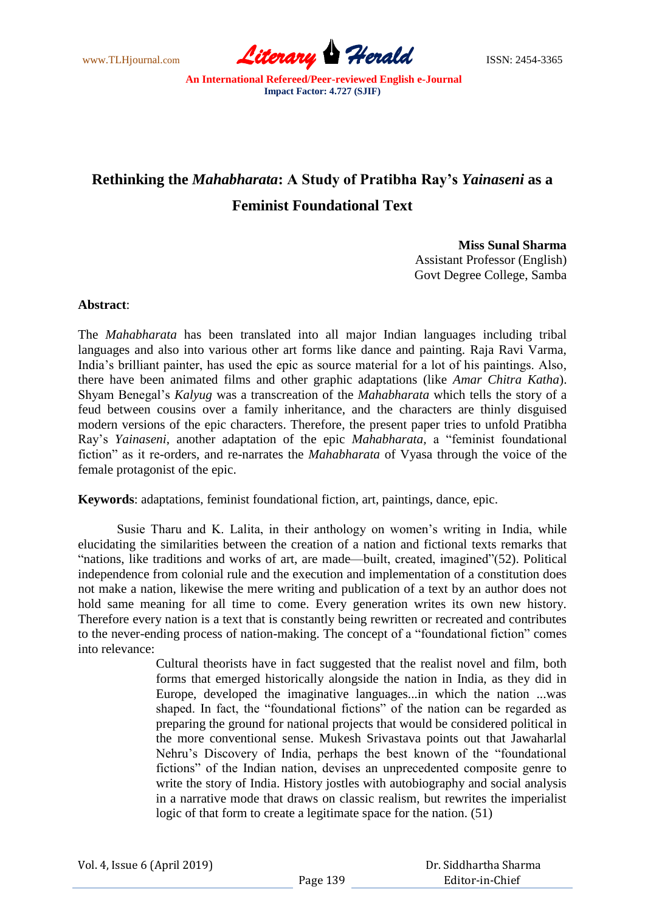www.TLHjournal.com **Literary Herald Herald** ISSN: 2454-3365

## **Rethinking the** *Mahabharata***: A Study of Pratibha Ray's** *Yainaseni* **as a Feminist Foundational Text**

**Miss Sunal Sharma**

Assistant Professor (English) Govt Degree College, Samba

## **Abstract**:

The *Mahabharata* has been translated into all major Indian languages including tribal languages and also into various other art forms like dance and painting. Raja Ravi Varma, India"s brilliant painter, has used the epic as source material for a lot of his paintings. Also, there have been animated films and other graphic adaptations (like *Amar Chitra Katha*). Shyam Benegal"s *Kalyug* was a transcreation of the *Mahabharata* which tells the story of a feud between cousins over a family inheritance, and the characters are thinly disguised modern versions of the epic characters. Therefore, the present paper tries to unfold Pratibha Ray"s *Yainaseni*, another adaptation of the epic *Mahabharata,* a "feminist foundational fiction" as it re-orders, and re-narrates the *Mahabharata* of Vyasa through the voice of the female protagonist of the epic.

**Keywords**: adaptations, feminist foundational fiction, art, paintings, dance, epic.

Susie Tharu and K. Lalita, in their anthology on women"s writing in India, while elucidating the similarities between the creation of a nation and fictional texts remarks that "nations, like traditions and works of art, are made—built, created, imagined"(52). Political independence from colonial rule and the execution and implementation of a constitution does not make a nation, likewise the mere writing and publication of a text by an author does not hold same meaning for all time to come. Every generation writes its own new history. Therefore every nation is a text that is constantly being rewritten or recreated and contributes to the never-ending process of nation-making. The concept of a "foundational fiction" comes into relevance:

> Cultural theorists have in fact suggested that the realist novel and film, both forms that emerged historically alongside the nation in India, as they did in Europe, developed the imaginative languages...in which the nation ...was shaped. In fact, the "foundational fictions" of the nation can be regarded as preparing the ground for national projects that would be considered political in the more conventional sense. Mukesh Srivastava points out that Jawaharlal Nehru"s Discovery of India, perhaps the best known of the "foundational fictions" of the Indian nation, devises an unprecedented composite genre to write the story of India. History jostles with autobiography and social analysis in a narrative mode that draws on classic realism, but rewrites the imperialist logic of that form to create a legitimate space for the nation. (51)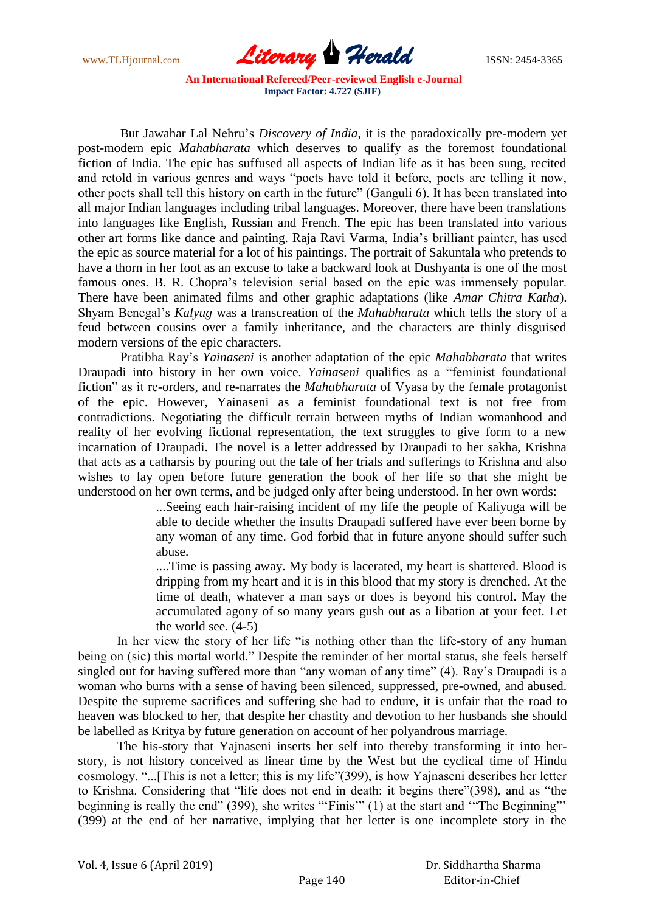

But Jawahar Lal Nehru"s *Discovery of India*, it is the paradoxically pre-modern yet post-modern epic *Mahabharata* which deserves to qualify as the foremost foundational fiction of India. The epic has suffused all aspects of Indian life as it has been sung, recited and retold in various genres and ways "poets have told it before, poets are telling it now, other poets shall tell this history on earth in the future" (Ganguli 6). It has been translated into all major Indian languages including tribal languages. Moreover, there have been translations into languages like English, Russian and French. The epic has been translated into various other art forms like dance and painting. Raja Ravi Varma, India"s brilliant painter, has used the epic as source material for a lot of his paintings. The portrait of Sakuntala who pretends to have a thorn in her foot as an excuse to take a backward look at Dushyanta is one of the most famous ones. B. R. Chopra"s television serial based on the epic was immensely popular. There have been animated films and other graphic adaptations (like *Amar Chitra Katha*). Shyam Benegal"s *Kalyug* was a transcreation of the *Mahabharata* which tells the story of a feud between cousins over a family inheritance, and the characters are thinly disguised modern versions of the epic characters.

Pratibha Ray"s *Yainaseni* is another adaptation of the epic *Mahabharata* that writes Draupadi into history in her own voice. *Yainaseni* qualifies as a "feminist foundational fiction" as it re-orders, and re-narrates the *Mahabharata* of Vyasa by the female protagonist of the epic. However, Yainaseni as a feminist foundational text is not free from contradictions. Negotiating the difficult terrain between myths of Indian womanhood and reality of her evolving fictional representation, the text struggles to give form to a new incarnation of Draupadi. The novel is a letter addressed by Draupadi to her sakha, Krishna that acts as a catharsis by pouring out the tale of her trials and sufferings to Krishna and also wishes to lay open before future generation the book of her life so that she might be understood on her own terms, and be judged only after being understood. In her own words:

...Seeing each hair-raising incident of my life the people of Kaliyuga will be able to decide whether the insults Draupadi suffered have ever been borne by any woman of any time. God forbid that in future anyone should suffer such abuse.

....Time is passing away. My body is lacerated, my heart is shattered. Blood is dripping from my heart and it is in this blood that my story is drenched. At the time of death, whatever a man says or does is beyond his control. May the accumulated agony of so many years gush out as a libation at your feet. Let the world see. (4-5)

In her view the story of her life "is nothing other than the life-story of any human being on (sic) this mortal world." Despite the reminder of her mortal status, she feels herself singled out for having suffered more than "any woman of any time" (4). Ray's Draupadi is a woman who burns with a sense of having been silenced, suppressed, pre-owned, and abused. Despite the supreme sacrifices and suffering she had to endure, it is unfair that the road to heaven was blocked to her, that despite her chastity and devotion to her husbands she should be labelled as Kritya by future generation on account of her polyandrous marriage.

The his-story that Yajnaseni inserts her self into thereby transforming it into herstory, is not history conceived as linear time by the West but the cyclical time of Hindu cosmology. "...[This is not a letter; this is my life"(399), is how Yajnaseni describes her letter to Krishna. Considering that "life does not end in death: it begins there"(398), and as "the beginning is really the end" (399), she writes "'Finis'" (1) at the start and "The Beginning"' (399) at the end of her narrative, implying that her letter is one incomplete story in the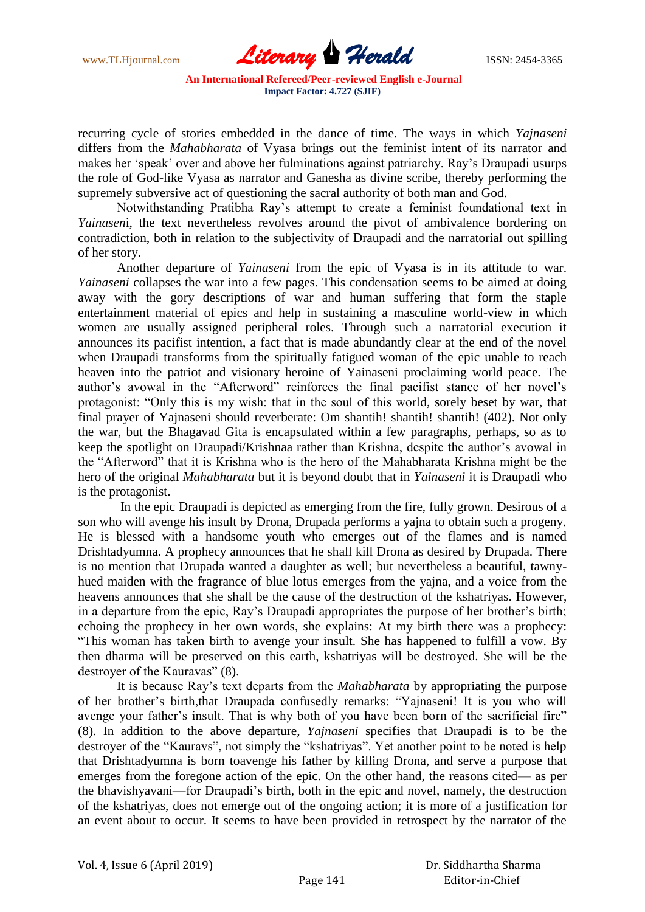www.TLHjournal.com **Literary Herald ISSN: 2454-3365** 

recurring cycle of stories embedded in the dance of time. The ways in which *Yajnaseni*  differs from the *Mahabharata* of Vyasa brings out the feminist intent of its narrator and makes her "speak" over and above her fulminations against patriarchy. Ray"s Draupadi usurps the role of God-like Vyasa as narrator and Ganesha as divine scribe, thereby performing the supremely subversive act of questioning the sacral authority of both man and God.

Notwithstanding Pratibha Ray"s attempt to create a feminist foundational text in *Yainasen*i, the text nevertheless revolves around the pivot of ambivalence bordering on contradiction, both in relation to the subjectivity of Draupadi and the narratorial out spilling of her story.

Another departure of *Yainaseni* from the epic of Vyasa is in its attitude to war. *Yainaseni* collapses the war into a few pages. This condensation seems to be aimed at doing away with the gory descriptions of war and human suffering that form the staple entertainment material of epics and help in sustaining a masculine world-view in which women are usually assigned peripheral roles. Through such a narratorial execution it announces its pacifist intention, a fact that is made abundantly clear at the end of the novel when Draupadi transforms from the spiritually fatigued woman of the epic unable to reach heaven into the patriot and visionary heroine of Yainaseni proclaiming world peace. The author's avowal in the "Afterword" reinforces the final pacifist stance of her novel's protagonist: "Only this is my wish: that in the soul of this world, sorely beset by war, that final prayer of Yajnaseni should reverberate: Om shantih! shantih! shantih! (402). Not only the war, but the Bhagavad Gita is encapsulated within a few paragraphs, perhaps, so as to keep the spotlight on Draupadi/Krishnaa rather than Krishna, despite the author"s avowal in the "Afterword" that it is Krishna who is the hero of the Mahabharata Krishna might be the hero of the original *Mahabharata* but it is beyond doubt that in *Yainaseni* it is Draupadi who is the protagonist.

In the epic Draupadi is depicted as emerging from the fire, fully grown. Desirous of a son who will avenge his insult by Drona, Drupada performs a yajna to obtain such a progeny. He is blessed with a handsome youth who emerges out of the flames and is named Drishtadyumna. A prophecy announces that he shall kill Drona as desired by Drupada. There is no mention that Drupada wanted a daughter as well; but nevertheless a beautiful, tawnyhued maiden with the fragrance of blue lotus emerges from the yajna, and a voice from the heavens announces that she shall be the cause of the destruction of the kshatriyas. However, in a departure from the epic, Ray"s Draupadi appropriates the purpose of her brother"s birth; echoing the prophecy in her own words, she explains: At my birth there was a prophecy: "This woman has taken birth to avenge your insult. She has happened to fulfill a vow. By then dharma will be preserved on this earth, kshatriyas will be destroyed. She will be the destroyer of the Kauravas" (8).

It is because Ray"s text departs from the *Mahabharata* by appropriating the purpose of her brother"s birth,that Draupada confusedly remarks: "Yajnaseni! It is you who will avenge your father's insult. That is why both of you have been born of the sacrificial fire" (8). In addition to the above departure, *Yajnaseni* specifies that Draupadi is to be the destroyer of the "Kauravs", not simply the "kshatriyas". Yet another point to be noted is help that Drishtadyumna is born toavenge his father by killing Drona, and serve a purpose that emerges from the foregone action of the epic. On the other hand, the reasons cited— as per the bhavishyavani—for Draupadi"s birth, both in the epic and novel, namely, the destruction of the kshatriyas, does not emerge out of the ongoing action; it is more of a justification for an event about to occur. It seems to have been provided in retrospect by the narrator of the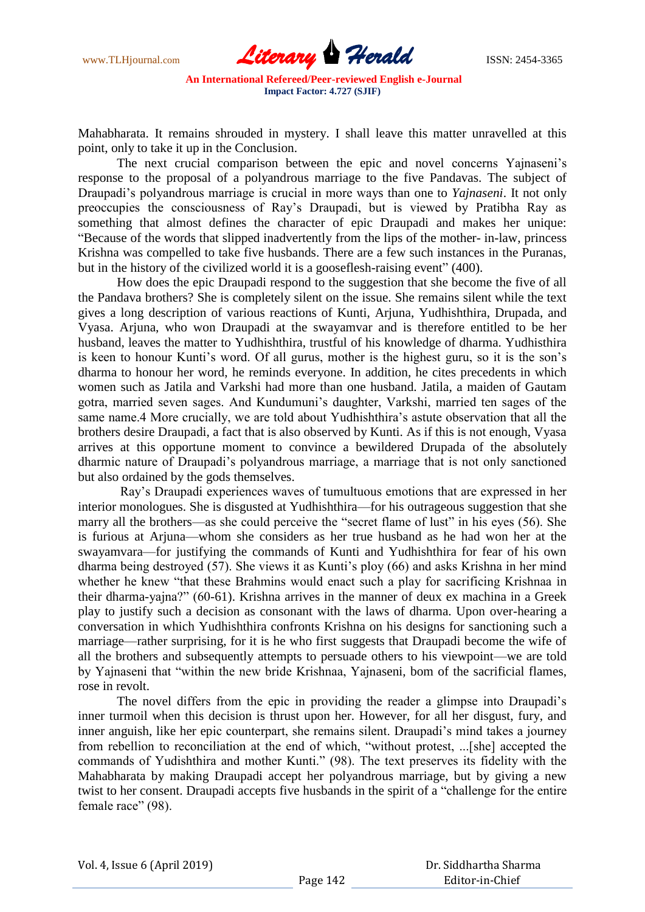

Mahabharata. It remains shrouded in mystery. I shall leave this matter unravelled at this point, only to take it up in the Conclusion.

The next crucial comparison between the epic and novel concerns Yajnaseni's response to the proposal of a polyandrous marriage to the five Pandavas. The subject of Draupadi"s polyandrous marriage is crucial in more ways than one to *Yajnaseni*. It not only preoccupies the consciousness of Ray"s Draupadi, but is viewed by Pratibha Ray as something that almost defines the character of epic Draupadi and makes her unique: "Because of the words that slipped inadvertently from the lips of the mother- in-law, princess Krishna was compelled to take five husbands. There are a few such instances in the Puranas, but in the history of the civilized world it is a gooseflesh-raising event" (400).

How does the epic Draupadi respond to the suggestion that she become the five of all the Pandava brothers? She is completely silent on the issue. She remains silent while the text gives a long description of various reactions of Kunti, Arjuna, Yudhishthira, Drupada, and Vyasa. Arjuna, who won Draupadi at the swayamvar and is therefore entitled to be her husband, leaves the matter to Yudhishthira, trustful of his knowledge of dharma. Yudhisthira is keen to honour Kunti's word. Of all gurus, mother is the highest guru, so it is the son's dharma to honour her word, he reminds everyone. In addition, he cites precedents in which women such as Jatila and Varkshi had more than one husband. Jatila, a maiden of Gautam gotra, married seven sages. And Kundumuni"s daughter, Varkshi, married ten sages of the same name.4 More crucially, we are told about Yudhishthira's astute observation that all the brothers desire Draupadi, a fact that is also observed by Kunti. As if this is not enough, Vyasa arrives at this opportune moment to convince a bewildered Drupada of the absolutely dharmic nature of Draupadi"s polyandrous marriage, a marriage that is not only sanctioned but also ordained by the gods themselves.

Ray"s Draupadi experiences waves of tumultuous emotions that are expressed in her interior monologues. She is disgusted at Yudhishthira—for his outrageous suggestion that she marry all the brothers—as she could perceive the "secret flame of lust" in his eyes (56). She is furious at Arjuna—whom she considers as her true husband as he had won her at the swayamvara—for justifying the commands of Kunti and Yudhishthira for fear of his own dharma being destroyed (57). She views it as Kunti's ploy (66) and asks Krishna in her mind whether he knew "that these Brahmins would enact such a play for sacrificing Krishnaa in their dharma-yajna?" (60-61). Krishna arrives in the manner of deux ex machina in a Greek play to justify such a decision as consonant with the laws of dharma. Upon over-hearing a conversation in which Yudhishthira confronts Krishna on his designs for sanctioning such a marriage—rather surprising, for it is he who first suggests that Draupadi become the wife of all the brothers and subsequently attempts to persuade others to his viewpoint—we are told by Yajnaseni that "within the new bride Krishnaa, Yajnaseni, bom of the sacrificial flames, rose in revolt.

The novel differs from the epic in providing the reader a glimpse into Draupadi"s inner turmoil when this decision is thrust upon her. However, for all her disgust, fury, and inner anguish, like her epic counterpart, she remains silent. Draupadi's mind takes a journey from rebellion to reconciliation at the end of which, "without protest, ...[she] accepted the commands of Yudishthira and mother Kunti." (98). The text preserves its fidelity with the Mahabharata by making Draupadi accept her polyandrous marriage, but by giving a new twist to her consent. Draupadi accepts five husbands in the spirit of a "challenge for the entire female race" (98).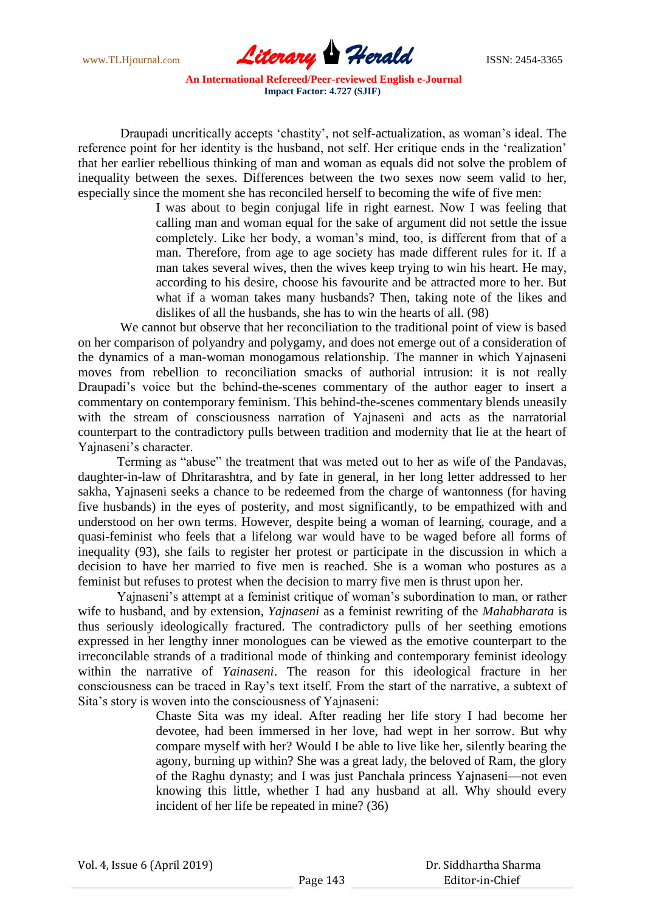www.TLHjournal.com **Literary Herald ISSN: 2454-3365** 

Draupadi uncritically accepts "chastity", not self-actualization, as woman"s ideal. The reference point for her identity is the husband, not self. Her critique ends in the "realization" that her earlier rebellious thinking of man and woman as equals did not solve the problem of inequality between the sexes. Differences between the two sexes now seem valid to her, especially since the moment she has reconciled herself to becoming the wife of five men:

I was about to begin conjugal life in right earnest. Now I was feeling that calling man and woman equal for the sake of argument did not settle the issue completely. Like her body, a woman"s mind, too, is different from that of a man. Therefore, from age to age society has made different rules for it. If a man takes several wives, then the wives keep trying to win his heart. He may, according to his desire, choose his favourite and be attracted more to her. But what if a woman takes many husbands? Then, taking note of the likes and dislikes of all the husbands, she has to win the hearts of all. (98)

We cannot but observe that her reconciliation to the traditional point of view is based on her comparison of polyandry and polygamy, and does not emerge out of a consideration of the dynamics of a man-woman monogamous relationship. The manner in which Yajnaseni moves from rebellion to reconciliation smacks of authorial intrusion: it is not really Draupadi"s voice but the behind-the-scenes commentary of the author eager to insert a commentary on contemporary feminism. This behind-the-scenes commentary blends uneasily with the stream of consciousness narration of Yajnaseni and acts as the narratorial counterpart to the contradictory pulls between tradition and modernity that lie at the heart of Yainaseni's character.

Terming as "abuse" the treatment that was meted out to her as wife of the Pandavas, daughter-in-law of Dhritarashtra, and by fate in general, in her long letter addressed to her sakha, Yajnaseni seeks a chance to be redeemed from the charge of wantonness (for having five husbands) in the eyes of posterity, and most significantly, to be empathized with and understood on her own terms. However, despite being a woman of learning, courage, and a quasi-feminist who feels that a lifelong war would have to be waged before all forms of inequality (93), she fails to register her protest or participate in the discussion in which a decision to have her married to five men is reached. She is a woman who postures as a feminist but refuses to protest when the decision to marry five men is thrust upon her.

Yajnaseni's attempt at a feminist critique of woman's subordination to man, or rather wife to husband, and by extension, *Yajnaseni* as a feminist rewriting of the *Mahabharata* is thus seriously ideologically fractured. The contradictory pulls of her seething emotions expressed in her lengthy inner monologues can be viewed as the emotive counterpart to the irreconcilable strands of a traditional mode of thinking and contemporary feminist ideology within the narrative of *Yainaseni*. The reason for this ideological fracture in her consciousness can be traced in Ray"s text itself. From the start of the narrative, a subtext of Sita's story is woven into the consciousness of Yajnaseni:

> Chaste Sita was my ideal. After reading her life story I had become her devotee, had been immersed in her love, had wept in her sorrow. But why compare myself with her? Would I be able to live like her, silently bearing the agony, burning up within? She was a great lady, the beloved of Ram, the glory of the Raghu dynasty; and I was just Panchala princess Yajnaseni—not even knowing this little, whether I had any husband at all. Why should every incident of her life be repeated in mine? (36)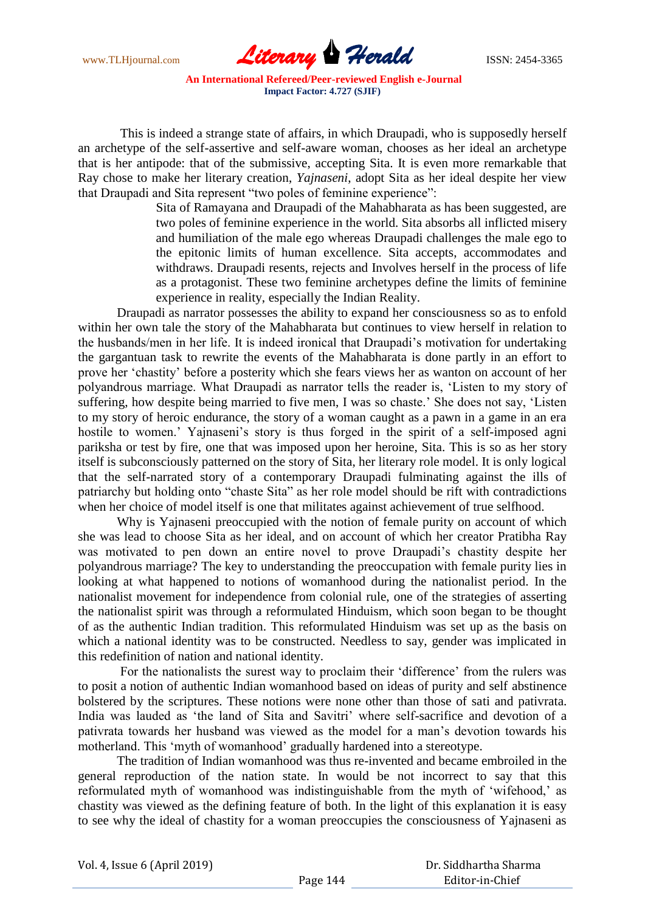

This is indeed a strange state of affairs, in which Draupadi, who is supposedly herself an archetype of the self-assertive and self-aware woman, chooses as her ideal an archetype that is her antipode: that of the submissive, accepting Sita. It is even more remarkable that Ray chose to make her literary creation, *Yajnaseni*, adopt Sita as her ideal despite her view that Draupadi and Sita represent "two poles of feminine experience":

> Sita of Ramayana and Draupadi of the Mahabharata as has been suggested, are two poles of feminine experience in the world. Sita absorbs all inflicted misery and humiliation of the male ego whereas Draupadi challenges the male ego to the epitonic limits of human excellence. Sita accepts, accommodates and withdraws. Draupadi resents, rejects and Involves herself in the process of life as a protagonist. These two feminine archetypes define the limits of feminine experience in reality, especially the Indian Reality.

Draupadi as narrator possesses the ability to expand her consciousness so as to enfold within her own tale the story of the Mahabharata but continues to view herself in relation to the husbands/men in her life. It is indeed ironical that Draupadi"s motivation for undertaking the gargantuan task to rewrite the events of the Mahabharata is done partly in an effort to prove her "chastity" before a posterity which she fears views her as wanton on account of her polyandrous marriage. What Draupadi as narrator tells the reader is, "Listen to my story of suffering, how despite being married to five men, I was so chaste.' She does not say, 'Listen to my story of heroic endurance, the story of a woman caught as a pawn in a game in an era hostile to women.' Yajnaseni's story is thus forged in the spirit of a self-imposed agni pariksha or test by fire, one that was imposed upon her heroine, Sita. This is so as her story itself is subconsciously patterned on the story of Sita, her literary role model. It is only logical that the self-narrated story of a contemporary Draupadi fulminating against the ills of patriarchy but holding onto "chaste Sita" as her role model should be rift with contradictions when her choice of model itself is one that militates against achievement of true selfhood.

Why is Yajnaseni preoccupied with the notion of female purity on account of which she was lead to choose Sita as her ideal, and on account of which her creator Pratibha Ray was motivated to pen down an entire novel to prove Draupadi"s chastity despite her polyandrous marriage? The key to understanding the preoccupation with female purity lies in looking at what happened to notions of womanhood during the nationalist period. In the nationalist movement for independence from colonial rule, one of the strategies of asserting the nationalist spirit was through a reformulated Hinduism, which soon began to be thought of as the authentic Indian tradition. This reformulated Hinduism was set up as the basis on which a national identity was to be constructed. Needless to say, gender was implicated in this redefinition of nation and national identity.

For the nationalists the surest way to proclaim their "difference" from the rulers was to posit a notion of authentic Indian womanhood based on ideas of purity and self abstinence bolstered by the scriptures. These notions were none other than those of sati and pativrata. India was lauded as 'the land of Sita and Savitri' where self-sacrifice and devotion of a pativrata towards her husband was viewed as the model for a man"s devotion towards his motherland. This "myth of womanhood" gradually hardened into a stereotype.

The tradition of Indian womanhood was thus re-invented and became embroiled in the general reproduction of the nation state. In would be not incorrect to say that this reformulated myth of womanhood was indistinguishable from the myth of "wifehood," as chastity was viewed as the defining feature of both. In the light of this explanation it is easy to see why the ideal of chastity for a woman preoccupies the consciousness of Yajnaseni as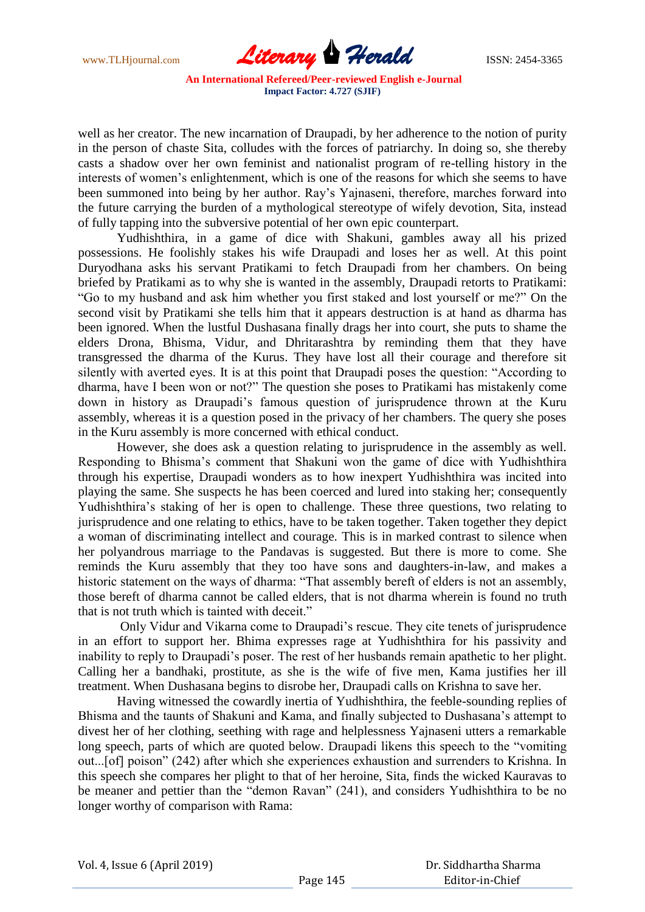

well as her creator. The new incarnation of Draupadi, by her adherence to the notion of purity in the person of chaste Sita, colludes with the forces of patriarchy. In doing so, she thereby casts a shadow over her own feminist and nationalist program of re-telling history in the interests of women"s enlightenment, which is one of the reasons for which she seems to have been summoned into being by her author. Ray's Yajnaseni, therefore, marches forward into the future carrying the burden of a mythological stereotype of wifely devotion, Sita, instead of fully tapping into the subversive potential of her own epic counterpart.

Yudhishthira, in a game of dice with Shakuni, gambles away all his prized possessions. He foolishly stakes his wife Draupadi and loses her as well. At this point Duryodhana asks his servant Pratikami to fetch Draupadi from her chambers. On being briefed by Pratikami as to why she is wanted in the assembly, Draupadi retorts to Pratikami: "Go to my husband and ask him whether you first staked and lost yourself or me?" On the second visit by Pratikami she tells him that it appears destruction is at hand as dharma has been ignored. When the lustful Dushasana finally drags her into court, she puts to shame the elders Drona, Bhisma, Vidur, and Dhritarashtra by reminding them that they have transgressed the dharma of the Kurus. They have lost all their courage and therefore sit silently with averted eyes. It is at this point that Draupadi poses the question: "According to dharma, have I been won or not?" The question she poses to Pratikami has mistakenly come down in history as Draupadi"s famous question of jurisprudence thrown at the Kuru assembly, whereas it is a question posed in the privacy of her chambers. The query she poses in the Kuru assembly is more concerned with ethical conduct.

However, she does ask a question relating to jurisprudence in the assembly as well. Responding to Bhisma"s comment that Shakuni won the game of dice with Yudhishthira through his expertise, Draupadi wonders as to how inexpert Yudhishthira was incited into playing the same. She suspects he has been coerced and lured into staking her; consequently Yudhishthira"s staking of her is open to challenge. These three questions, two relating to jurisprudence and one relating to ethics, have to be taken together. Taken together they depict a woman of discriminating intellect and courage. This is in marked contrast to silence when her polyandrous marriage to the Pandavas is suggested. But there is more to come. She reminds the Kuru assembly that they too have sons and daughters-in-law, and makes a historic statement on the ways of dharma: "That assembly bereft of elders is not an assembly, those bereft of dharma cannot be called elders, that is not dharma wherein is found no truth that is not truth which is tainted with deceit."

Only Vidur and Vikarna come to Draupadi"s rescue. They cite tenets of jurisprudence in an effort to support her. Bhima expresses rage at Yudhishthira for his passivity and inability to reply to Draupadi's poser. The rest of her husbands remain apathetic to her plight. Calling her a bandhaki, prostitute, as she is the wife of five men, Kama justifies her ill treatment. When Dushasana begins to disrobe her, Draupadi calls on Krishna to save her.

Having witnessed the cowardly inertia of Yudhishthira, the feeble-sounding replies of Bhisma and the taunts of Shakuni and Kama, and finally subjected to Dushasana"s attempt to divest her of her clothing, seething with rage and helplessness Yajnaseni utters a remarkable long speech, parts of which are quoted below. Draupadi likens this speech to the "vomiting out...[of] poison" (242) after which she experiences exhaustion and surrenders to Krishna. In this speech she compares her plight to that of her heroine, Sita, finds the wicked Kauravas to be meaner and pettier than the "demon Ravan" (241), and considers Yudhishthira to be no longer worthy of comparison with Rama: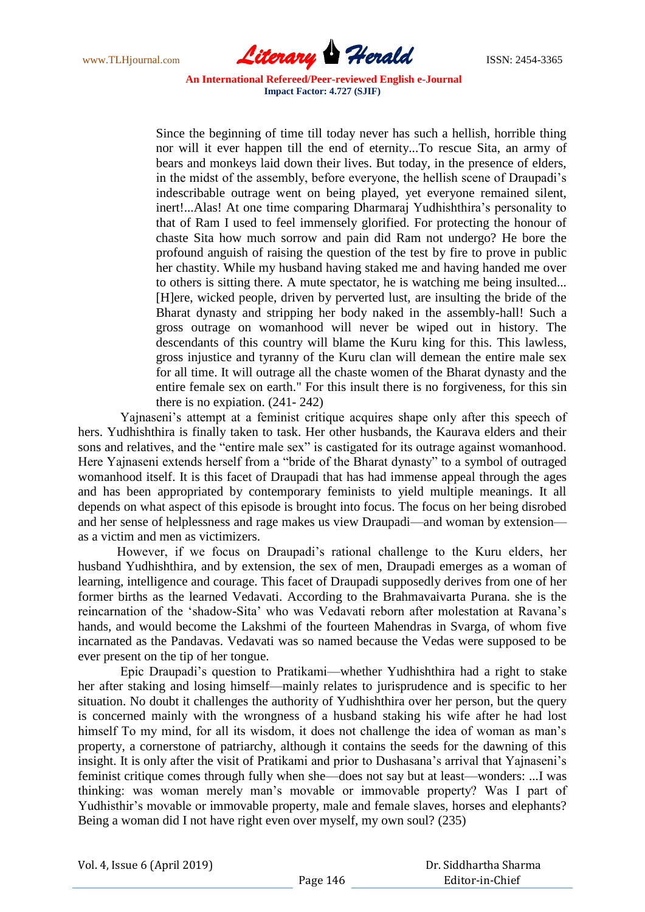www.TLHjournal.com **Literary Herald ISSN: 2454-3365** 

Since the beginning of time till today never has such a hellish, horrible thing nor will it ever happen till the end of eternity...To rescue Sita, an army of bears and monkeys laid down their lives. But today, in the presence of elders, in the midst of the assembly, before everyone, the hellish scene of Draupadi"s indescribable outrage went on being played, yet everyone remained silent, inert!...Alas! At one time comparing Dharmaraj Yudhishthira's personality to that of Ram I used to feel immensely glorified. For protecting the honour of chaste Sita how much sorrow and pain did Ram not undergo? He bore the profound anguish of raising the question of the test by fire to prove in public her chastity. While my husband having staked me and having handed me over to others is sitting there. A mute spectator, he is watching me being insulted... [H]ere, wicked people, driven by perverted lust, are insulting the bride of the Bharat dynasty and stripping her body naked in the assembly-hall! Such a gross outrage on womanhood will never be wiped out in history. The descendants of this country will blame the Kuru king for this. This lawless, gross injustice and tyranny of the Kuru clan will demean the entire male sex for all time. It will outrage all the chaste women of the Bharat dynasty and the entire female sex on earth." For this insult there is no forgiveness, for this sin there is no expiation. (241- 242)

Yajnaseni's attempt at a feminist critique acquires shape only after this speech of hers. Yudhishthira is finally taken to task. Her other husbands, the Kaurava elders and their sons and relatives, and the "entire male sex" is castigated for its outrage against womanhood. Here Yajnaseni extends herself from a "bride of the Bharat dynasty" to a symbol of outraged womanhood itself. It is this facet of Draupadi that has had immense appeal through the ages and has been appropriated by contemporary feminists to yield multiple meanings. It all depends on what aspect of this episode is brought into focus. The focus on her being disrobed and her sense of helplessness and rage makes us view Draupadi—and woman by extension as a victim and men as victimizers.

However, if we focus on Draupadi"s rational challenge to the Kuru elders, her husband Yudhishthira, and by extension, the sex of men, Draupadi emerges as a woman of learning, intelligence and courage. This facet of Draupadi supposedly derives from one of her former births as the learned Vedavati. According to the Brahmavaivarta Purana. she is the reincarnation of the "shadow-Sita" who was Vedavati reborn after molestation at Ravana"s hands, and would become the Lakshmi of the fourteen Mahendras in Svarga, of whom five incarnated as the Pandavas. Vedavati was so named because the Vedas were supposed to be ever present on the tip of her tongue.

Epic Draupadi"s question to Pratikami—whether Yudhishthira had a right to stake her after staking and losing himself—mainly relates to jurisprudence and is specific to her situation. No doubt it challenges the authority of Yudhishthira over her person, but the query is concerned mainly with the wrongness of a husband staking his wife after he had lost himself To my mind, for all its wisdom, it does not challenge the idea of woman as man's property, a cornerstone of patriarchy, although it contains the seeds for the dawning of this insight. It is only after the visit of Pratikami and prior to Dushasana's arrival that Yajnaseni's feminist critique comes through fully when she—does not say but at least—wonders: ...I was thinking: was woman merely man"s movable or immovable property? Was I part of Yudhisthir's movable or immovable property, male and female slaves, horses and elephants? Being a woman did I not have right even over myself, my own soul? (235)